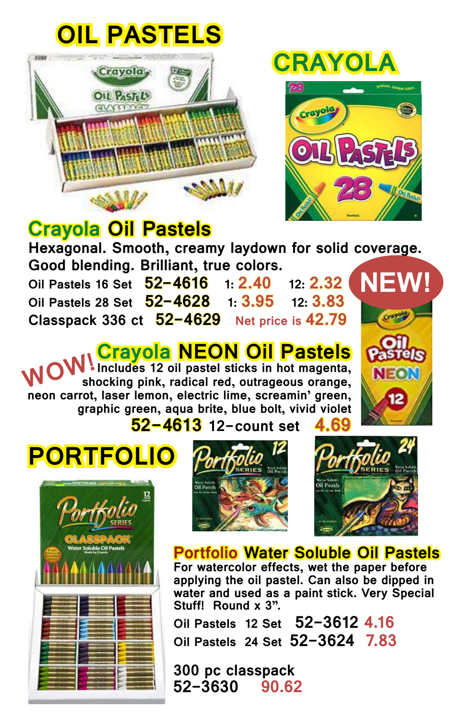# **OIL PASTELS**



## **CRAYOLA**



### **Crayola Oil Pastels**

**Hexagonal. Smooth, creamy laydown for solid coverage.**  Good blending. Brilliant, true colors.<br>Oil Pastels 16 Set 52-4616 1: 2.40 12: 2.32

**Oil Pastels 16 Set 52-4616 1: 2.40 12: 2.32 Oil Pastels 28 Set Classpack 336 ct 52-4629 Net price is 42.79**

#### **Crayola NEON Oil Pastels**

**Includes 12 oil pastel sticks in hot magenta, shocking pink, radical red, outrageous orange, neon carrot, laser lemon, electric lime, screamin' green, graphic green, aqua brite, blue bolt, vivid violet WOW!**



**52-4613 12-count set 4.69**









#### **Portfolio Water Soluble Oil Pastels**

**For watercolor effects, wet the paper before applying the oil pastel. Can also be dipped in water and used as a paint stick. Very Special Stuff! Round x 3".**

**Oil Pastels 12 Set 52-3612 4.16 Oil Pastels 24 Set 52-3624 7.83** 

**300 pc classpack 52-3630 90.62**